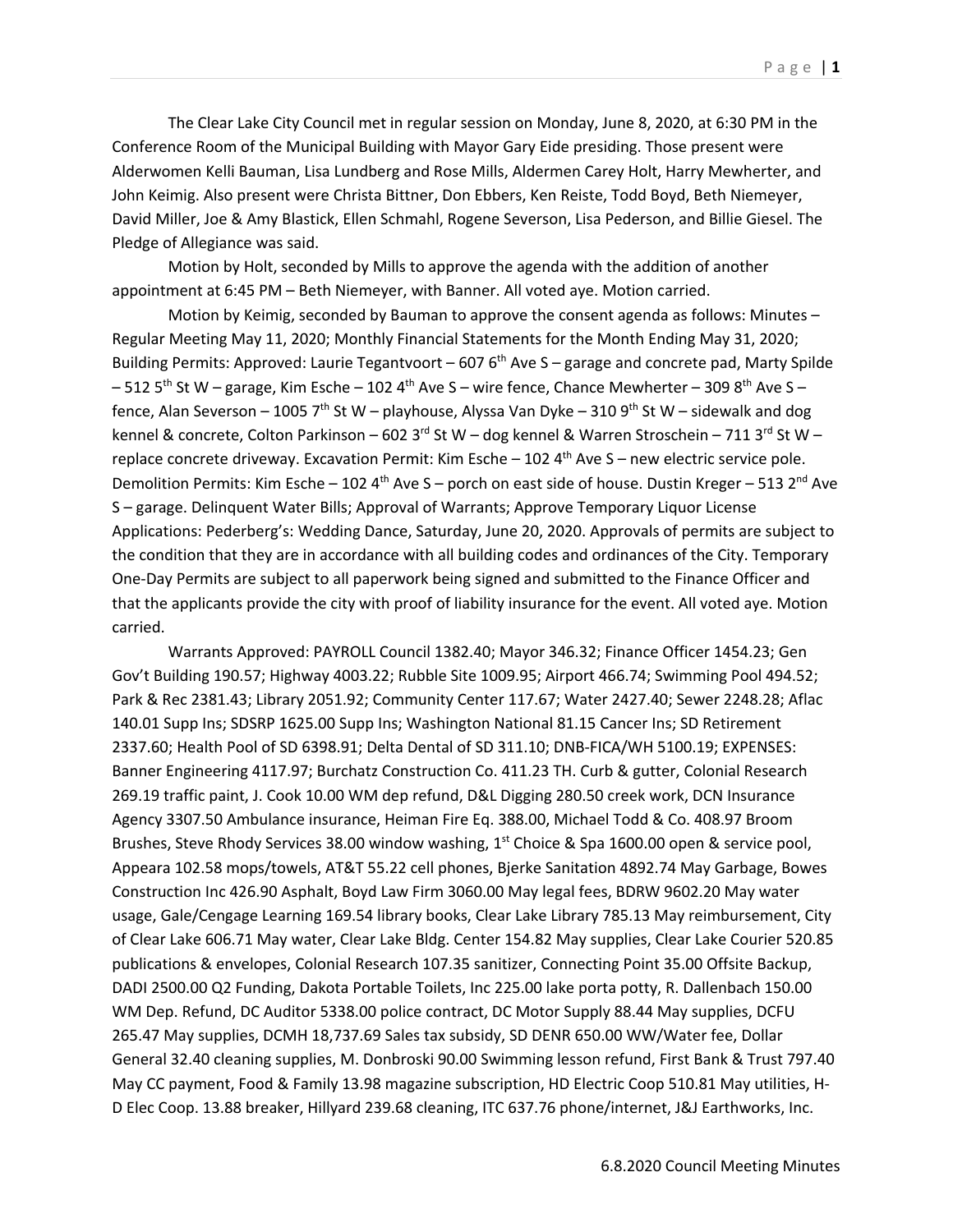The Clear Lake City Council met in regular session on Monday, June 8, 2020, at 6:30 PM in the Conference Room of the Municipal Building with Mayor Gary Eide presiding. Those present were Alderwomen Kelli Bauman, Lisa Lundberg and Rose Mills, Aldermen Carey Holt, Harry Mewherter, and John Keimig. Also present were Christa Bittner, Don Ebbers, Ken Reiste, Todd Boyd, Beth Niemeyer, David Miller, Joe & Amy Blastick, Ellen Schmahl, Rogene Severson, Lisa Pederson, and Billie Giesel. The Pledge of Allegiance was said.

Motion by Holt, seconded by Mills to approve the agenda with the addition of another appointment at 6:45 PM – Beth Niemeyer, with Banner. All voted aye. Motion carried.

Motion by Keimig, seconded by Bauman to approve the consent agenda as follows: Minutes – Regular Meeting May 11, 2020; Monthly Financial Statements for the Month Ending May 31, 2020; Building Permits: Approved: Laurie Tegantvoort – 607  $6<sup>th</sup>$  Ave S – garage and concrete pad, Marty Spilde  $-512$  5<sup>th</sup> St W – garage, Kim Esche – 102 4<sup>th</sup> Ave S – wire fence, Chance Mewherter – 309 8<sup>th</sup> Ave S – fence, Alan Severson – 1005 7<sup>th</sup> St W – playhouse, Alyssa Van Dyke – 310 9<sup>th</sup> St W – sidewalk and dog kennel & concrete, Colton Parkinson – 602 3<sup>rd</sup> St W – dog kennel & Warren Stroschein – 711 3<sup>rd</sup> St W – replace concrete driveway. Excavation Permit: Kim Esche - 102 4<sup>th</sup> Ave S - new electric service pole. Demolition Permits: Kim Esche – 102 4<sup>th</sup> Ave S – porch on east side of house. Dustin Kreger – 513 2<sup>nd</sup> Ave S – garage. Delinquent Water Bills; Approval of Warrants; Approve Temporary Liquor License Applications: Pederberg's: Wedding Dance, Saturday, June 20, 2020. Approvals of permits are subject to the condition that they are in accordance with all building codes and ordinances of the City. Temporary One-Day Permits are subject to all paperwork being signed and submitted to the Finance Officer and that the applicants provide the city with proof of liability insurance for the event. All voted aye. Motion carried.

Warrants Approved: PAYROLL Council 1382.40; Mayor 346.32; Finance Officer 1454.23; Gen Gov't Building 190.57; Highway 4003.22; Rubble Site 1009.95; Airport 466.74; Swimming Pool 494.52; Park & Rec 2381.43; Library 2051.92; Community Center 117.67; Water 2427.40; Sewer 2248.28; Aflac 140.01 Supp Ins; SDSRP 1625.00 Supp Ins; Washington National 81.15 Cancer Ins; SD Retirement 2337.60; Health Pool of SD 6398.91; Delta Dental of SD 311.10; DNB-FICA/WH 5100.19; EXPENSES: Banner Engineering 4117.97; Burchatz Construction Co. 411.23 TH. Curb & gutter, Colonial Research 269.19 traffic paint, J. Cook 10.00 WM dep refund, D&L Digging 280.50 creek work, DCN Insurance Agency 3307.50 Ambulance insurance, Heiman Fire Eq. 388.00, Michael Todd & Co. 408.97 Broom Brushes, Steve Rhody Services 38.00 window washing, 1<sup>st</sup> Choice & Spa 1600.00 open & service pool, Appeara 102.58 mops/towels, AT&T 55.22 cell phones, Bjerke Sanitation 4892.74 May Garbage, Bowes Construction Inc 426.90 Asphalt, Boyd Law Firm 3060.00 May legal fees, BDRW 9602.20 May water usage, Gale/Cengage Learning 169.54 library books, Clear Lake Library 785.13 May reimbursement, City of Clear Lake 606.71 May water, Clear Lake Bldg. Center 154.82 May supplies, Clear Lake Courier 520.85 publications & envelopes, Colonial Research 107.35 sanitizer, Connecting Point 35.00 Offsite Backup, DADI 2500.00 Q2 Funding, Dakota Portable Toilets, Inc 225.00 lake porta potty, R. Dallenbach 150.00 WM Dep. Refund, DC Auditor 5338.00 police contract, DC Motor Supply 88.44 May supplies, DCFU 265.47 May supplies, DCMH 18,737.69 Sales tax subsidy, SD DENR 650.00 WW/Water fee, Dollar General 32.40 cleaning supplies, M. Donbroski 90.00 Swimming lesson refund, First Bank & Trust 797.40 May CC payment, Food & Family 13.98 magazine subscription, HD Electric Coop 510.81 May utilities, H-D Elec Coop. 13.88 breaker, Hillyard 239.68 cleaning, ITC 637.76 phone/internet, J&J Earthworks, Inc.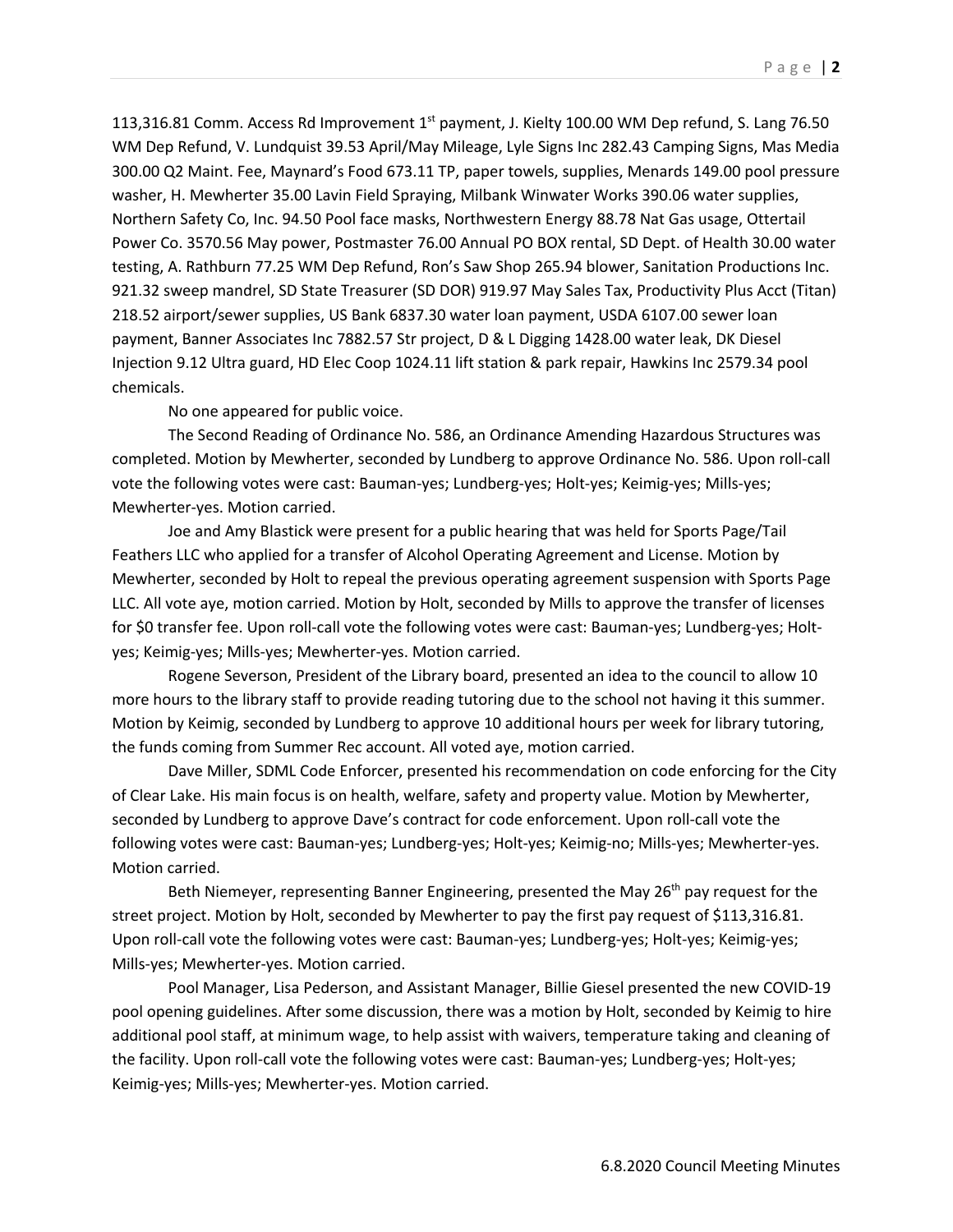113,316.81 Comm. Access Rd Improvement  $1<sup>st</sup>$  payment, J. Kielty 100.00 WM Dep refund, S. Lang 76.50 WM Dep Refund, V. Lundquist 39.53 April/May Mileage, Lyle Signs Inc 282.43 Camping Signs, Mas Media 300.00 Q2 Maint. Fee, Maynard's Food 673.11 TP, paper towels, supplies, Menards 149.00 pool pressure washer, H. Mewherter 35.00 Lavin Field Spraying, Milbank Winwater Works 390.06 water supplies, Northern Safety Co, Inc. 94.50 Pool face masks, Northwestern Energy 88.78 Nat Gas usage, Ottertail Power Co. 3570.56 May power, Postmaster 76.00 Annual PO BOX rental, SD Dept. of Health 30.00 water testing, A. Rathburn 77.25 WM Dep Refund, Ron's Saw Shop 265.94 blower, Sanitation Productions Inc. 921.32 sweep mandrel, SD State Treasurer (SD DOR) 919.97 May Sales Tax, Productivity Plus Acct (Titan) 218.52 airport/sewer supplies, US Bank 6837.30 water loan payment, USDA 6107.00 sewer loan payment, Banner Associates Inc 7882.57 Str project, D & L Digging 1428.00 water leak, DK Diesel Injection 9.12 Ultra guard, HD Elec Coop 1024.11 lift station & park repair, Hawkins Inc 2579.34 pool chemicals.

No one appeared for public voice.

The Second Reading of Ordinance No. 586, an Ordinance Amending Hazardous Structures was completed. Motion by Mewherter, seconded by Lundberg to approve Ordinance No. 586. Upon roll-call vote the following votes were cast: Bauman-yes; Lundberg-yes; Holt-yes; Keimig-yes; Mills-yes; Mewherter-yes. Motion carried.

Joe and Amy Blastick were present for a public hearing that was held for Sports Page/Tail Feathers LLC who applied for a transfer of Alcohol Operating Agreement and License. Motion by Mewherter, seconded by Holt to repeal the previous operating agreement suspension with Sports Page LLC. All vote aye, motion carried. Motion by Holt, seconded by Mills to approve the transfer of licenses for \$0 transfer fee. Upon roll-call vote the following votes were cast: Bauman-yes; Lundberg-yes; Holtyes; Keimig-yes; Mills-yes; Mewherter-yes. Motion carried.

Rogene Severson, President of the Library board, presented an idea to the council to allow 10 more hours to the library staff to provide reading tutoring due to the school not having it this summer. Motion by Keimig, seconded by Lundberg to approve 10 additional hours per week for library tutoring, the funds coming from Summer Rec account. All voted aye, motion carried.

Dave Miller, SDML Code Enforcer, presented his recommendation on code enforcing for the City of Clear Lake. His main focus is on health, welfare, safety and property value. Motion by Mewherter, seconded by Lundberg to approve Dave's contract for code enforcement. Upon roll-call vote the following votes were cast: Bauman-yes; Lundberg-yes; Holt-yes; Keimig-no; Mills-yes; Mewherter-yes. Motion carried.

Beth Niemeyer, representing Banner Engineering, presented the May  $26<sup>th</sup>$  pay request for the street project. Motion by Holt, seconded by Mewherter to pay the first pay request of \$113,316.81. Upon roll-call vote the following votes were cast: Bauman-yes; Lundberg-yes; Holt-yes; Keimig-yes; Mills-yes; Mewherter-yes. Motion carried.

Pool Manager, Lisa Pederson, and Assistant Manager, Billie Giesel presented the new COVID-19 pool opening guidelines. After some discussion, there was a motion by Holt, seconded by Keimig to hire additional pool staff, at minimum wage, to help assist with waivers, temperature taking and cleaning of the facility. Upon roll-call vote the following votes were cast: Bauman-yes; Lundberg-yes; Holt-yes; Keimig-yes; Mills-yes; Mewherter-yes. Motion carried.